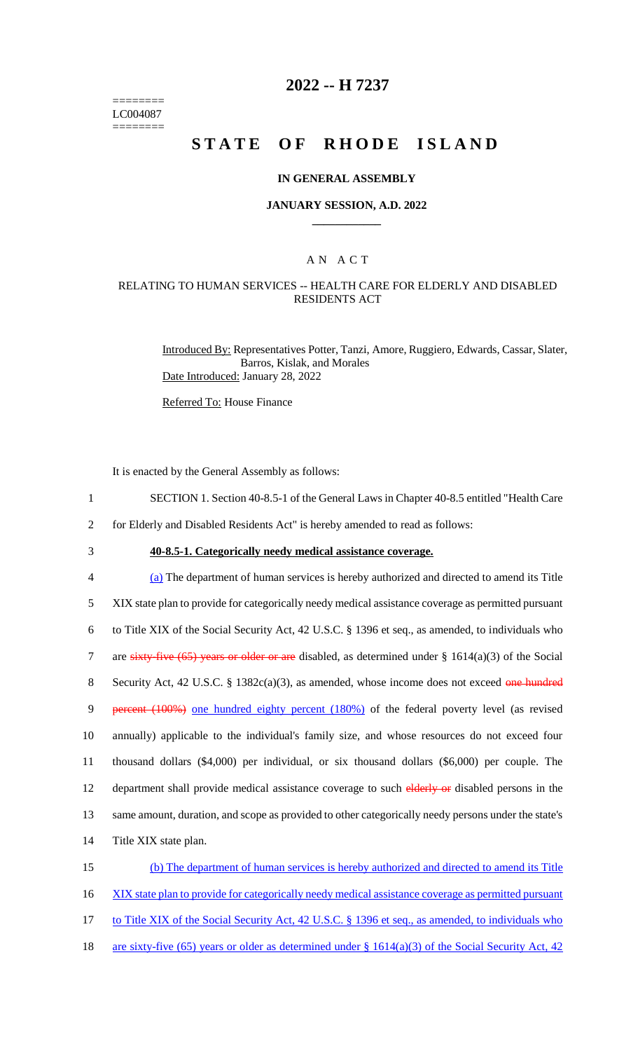======== LC004087 ========

## **2022 -- H 7237**

# **STATE OF RHODE ISLAND**

### **IN GENERAL ASSEMBLY**

#### **JANUARY SESSION, A.D. 2022 \_\_\_\_\_\_\_\_\_\_\_\_**

### A N A C T

### RELATING TO HUMAN SERVICES -- HEALTH CARE FOR ELDERLY AND DISABLED RESIDENTS ACT

Introduced By: Representatives Potter, Tanzi, Amore, Ruggiero, Edwards, Cassar, Slater, Barros, Kislak, and Morales Date Introduced: January 28, 2022

Referred To: House Finance

It is enacted by the General Assembly as follows:

- 1 SECTION 1. Section 40-8.5-1 of the General Laws in Chapter 40-8.5 entitled "Health Care
- 2 for Elderly and Disabled Residents Act" is hereby amended to read as follows:
- 

# 3 **40-8.5-1. Categorically needy medical assistance coverage.**

4 (a) The department of human services is hereby authorized and directed to amend its Title 5 XIX state plan to provide for categorically needy medical assistance coverage as permitted pursuant 6 to Title XIX of the Social Security Act, 42 U.S.C. § 1396 et seq., as amended, to individuals who 7 are sixty-five (65) years or older or are disabled, as determined under  $\S$  1614(a)(3) of the Social 8 Security Act, 42 U.S.C. § 1382c(a)(3), as amended, whose income does not exceed one hundred 9 percent (100%) one hundred eighty percent (180%) of the federal poverty level (as revised 10 annually) applicable to the individual's family size, and whose resources do not exceed four 11 thousand dollars (\$4,000) per individual, or six thousand dollars (\$6,000) per couple. The 12 department shall provide medical assistance coverage to such elderly or disabled persons in the 13 same amount, duration, and scope as provided to other categorically needy persons under the state's 14 Title XIX state plan. 15 (b) The department of human services is hereby authorized and directed to amend its Title

- 16 XIX state plan to provide for categorically needy medical assistance coverage as permitted pursuant
- 17 to Title XIX of the Social Security Act, 42 U.S.C. § 1396 et seq., as amended, to individuals who
- 18 are sixty-five (65) years or older as determined under  $\S$  1614(a)(3) of the Social Security Act, 42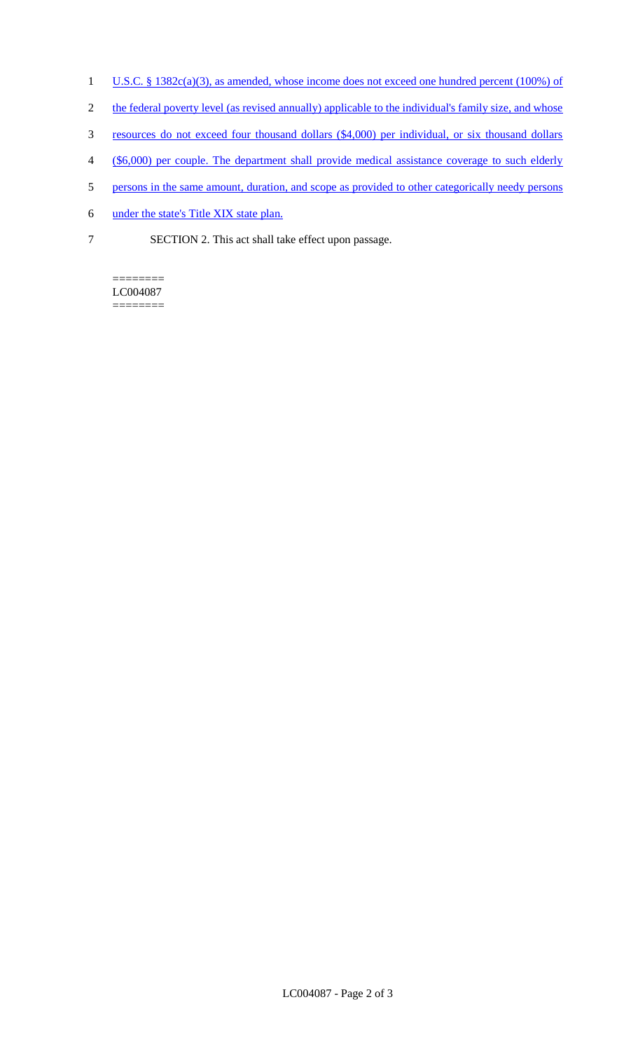- 1 U.S.C. § 1382c(a)(3), as amended, whose income does not exceed one hundred percent (100%) of
- 2 the federal poverty level (as revised annually) applicable to the individual's family size, and whose
- 3 resources do not exceed four thousand dollars (\$4,000) per individual, or six thousand dollars
- 4 (\$6,000) per couple. The department shall provide medical assistance coverage to such elderly
- 5 persons in the same amount, duration, and scope as provided to other categorically needy persons
- 6 under the state's Title XIX state plan.
- 7 SECTION 2. This act shall take effect upon passage.

======== LC004087 ========